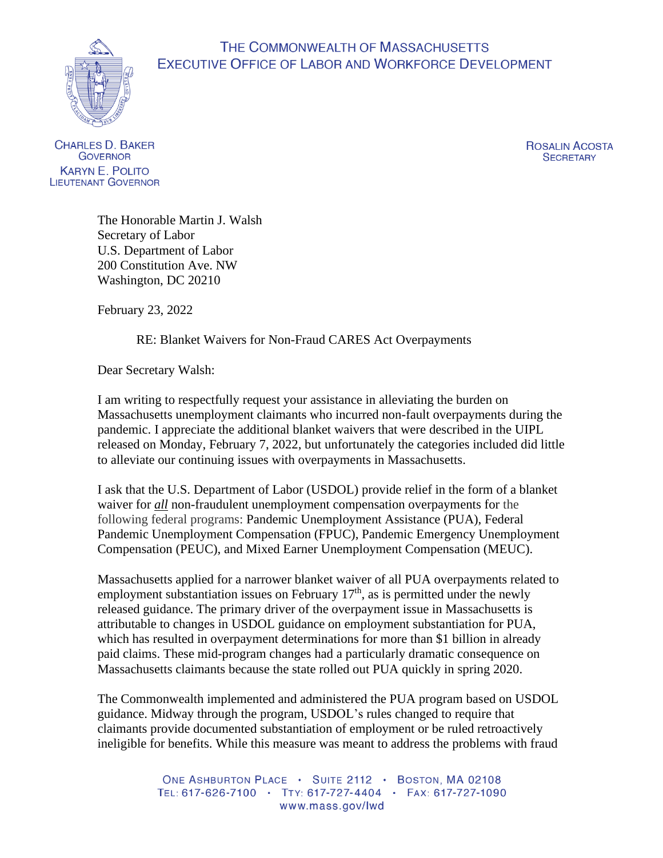## THE COMMONWEALTH OF MASSACHUSETTS EXECUTIVE OFFICE OF LABOR AND WORKFORCE DEVELOPMENT



**CHARLES D. BAKER GOVERNOR KARYN E. POLITO LIEUTENANT GOVERNOR**  ROSALIN ACOSTA **SECRETARY** 

The Honorable Martin J. Walsh Secretary of Labor U.S. Department of Labor 200 Constitution Ave. NW Washington, DC 20210

February 23, 2022

RE: Blanket Waivers for Non-Fraud CARES Act Overpayments

Dear Secretary Walsh:

I am writing to respectfully request your assistance in alleviating the burden on Massachusetts unemployment claimants who incurred non-fault overpayments during the pandemic. I appreciate the additional blanket waivers that were described in the UIPL released on Monday, February 7, 2022, but unfortunately the categories included did little to alleviate our continuing issues with overpayments in Massachusetts.

I ask that the U.S. Department of Labor (USDOL) provide relief in the form of a blanket waiver for *all* non-fraudulent unemployment compensation overpayments for the following federal programs: Pandemic Unemployment Assistance (PUA), Federal Pandemic Unemployment Compensation (FPUC), Pandemic Emergency Unemployment Compensation (PEUC), and Mixed Earner Unemployment Compensation (MEUC).

Massachusetts applied for a narrower blanket waiver of all PUA overpayments related to employment substantiation issues on February  $17<sup>th</sup>$ , as is permitted under the newly released guidance. The primary driver of the overpayment issue in Massachusetts is attributable to changes in USDOL guidance on employment substantiation for PUA, which has resulted in overpayment determinations for more than \$1 billion in already paid claims. These mid-program changes had a particularly dramatic consequence on Massachusetts claimants because the state rolled out PUA quickly in spring 2020.

The Commonwealth implemented and administered the PUA program based on USDOL guidance. Midway through the program, USDOL's rules changed to require that claimants provide documented substantiation of employment or be ruled retroactively ineligible for benefits. While this measure was meant to address the problems with fraud

> ONE ASHBURTON PLACE . SUITE 2112 . BOSTON, MA 02108 TEL: 617-626-7100 · TTY: 617-727-4404 · FAX: 617-727-1090 www.mass.gov/lwd